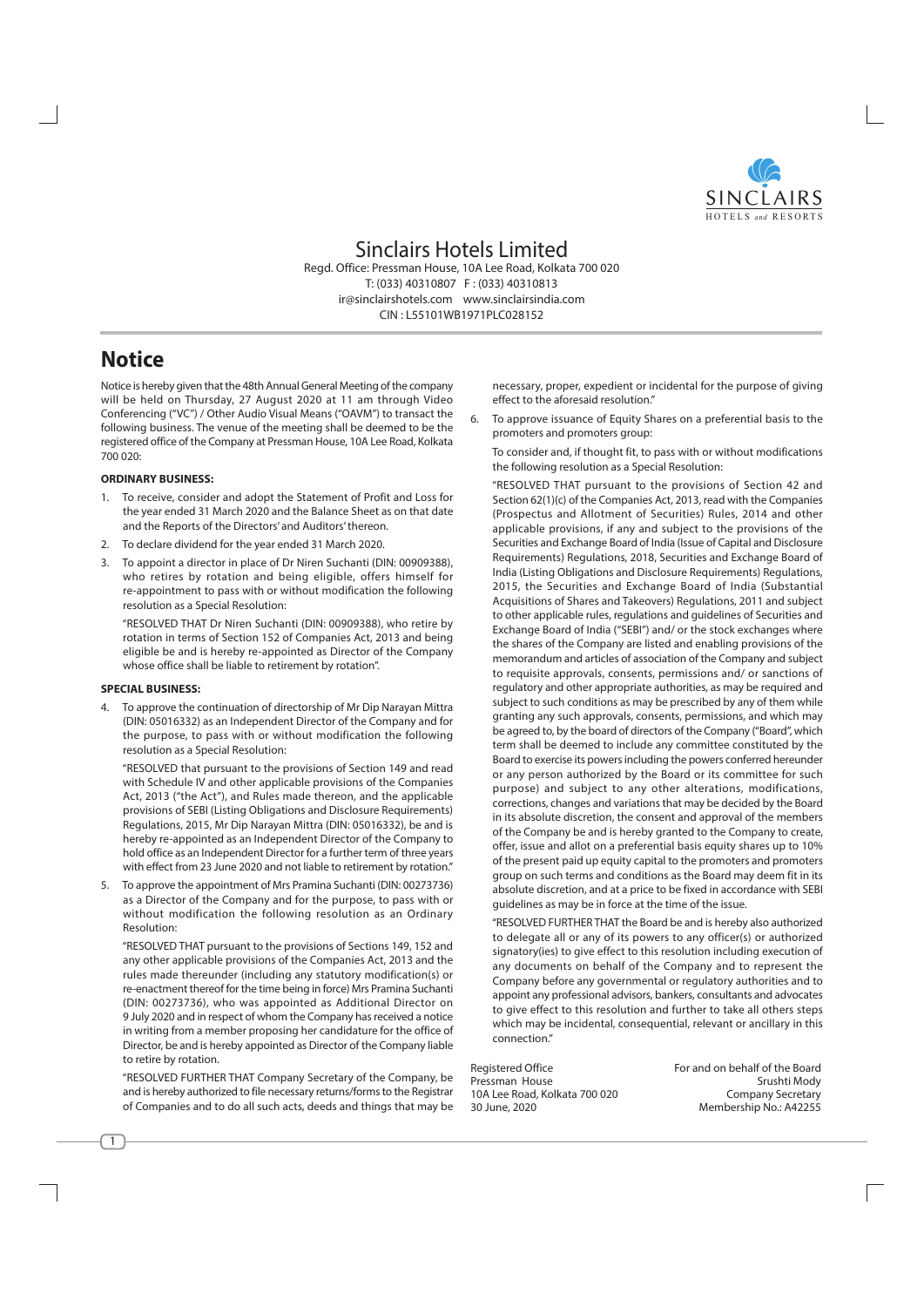

# Sinclairs Hotels Limited

Regd. Office: Pressman House, 10A Lee Road, Kolkata 700 020 T: (033) 40310807 F: (033) 40310813 ir@sinclairshotels.com www.sinclairsindia.com CIN . 155101WR1971PLC028152

# **Notice**

Notice is hereby given that the 48th Annual General Meeting of the company will be held on Thursday, 27 August 2020 at 11 am through Video Conferencing ("VC") / Other Audio Visual Means ("OAVM") to transact the following business. The venue of the meeting shall be deemed to be the registered office of the Company at Pressman House, 10A Lee Road, Kolkata  $700.020$ 

## **ORDINARY BUSINESS:**

- 1. To receive, consider and adopt the Statement of Profit and Loss for the year ended 31 March 2020 and the Balance Sheet as on that date and the Reports of the Directors' and Auditors' thereon.
- 2. To declare dividend for the year ended 31 March 2020.
- 3. To appoint a director in place of Dr Niren Suchanti (DIN: 00909388), who retires by rotation and being eligible, offers himself for re-appointment to pass with or without modification the following resolution as a Special Resolution:

"RESOLVED THAT Dr Niren Suchanti (DIN: 00909388), who retire by rotation in terms of Section 152 of Companies Act, 2013 and being eligible be and is hereby re-appointed as Director of the Company whose office shall be liable to retirement by rotation".

#### **SPECIAL BUSINESS:**

4. To approve the continuation of directorship of Mr Dip Narayan Mittra (DIN: 05016332) as an Independent Director of the Company and for the purpose, to pass with or without modification the following resolution as a Special Resolution:

"RESOLVED that pursuant to the provisions of Section 149 and read with Schedule IV and other applicable provisions of the Companies Act, 2013 ("the Act"), and Rules made thereon, and the applicable provisions of SEBI (Listing Obligations and Disclosure Requirements) Regulations, 2015, Mr Dip Narayan Mittra (DIN: 05016332), be and is hereby re-appointed as an Independent Director of the Company to hold office as an Independent Director for a further term of three years with effect from 23 June 2020 and not liable to retirement by rotation."

To approve the appointment of Mrs Pramina Suchanti (DIN: 00273736) 5. as a Director of the Company and for the purpose, to pass with or without modification the following resolution as an Ordinary Resolution:

"RESOLVED THAT pursuant to the provisions of Sections 149, 152 and any other applicable provisions of the Companies Act, 2013 and the rules made thereunder (including any statutory modification(s) or re-enactment thereof for the time being in force) Mrs Pramina Suchanti (DIN: 00273736), who was appointed as Additional Director on 9 July 2020 and in respect of whom the Company has received a notice in writing from a member proposing her candidature for the office of Director, be and is hereby appointed as Director of the Company liable to retire by rotation.

"RESOLVED FURTHER THAT Company Secretary of the Company, be and is hereby authorized to file necessary returns/forms to the Registrar of Companies and to do all such acts, deeds and things that may be necessary, proper, expedient or incidental for the purpose of giving effect to the aforesaid resolution."

6. To approve issuance of Equity Shares on a preferential basis to the promoters and promoters group:

To consider and, if thought fit, to pass with or without modifications the following resolution as a Special Resolution:

"RESOLVED THAT pursuant to the provisions of Section 42 and Section 62(1)(c) of the Companies Act, 2013, read with the Companies (Prospectus and Allotment of Securities) Rules, 2014 and other applicable provisions, if any and subject to the provisions of the Securities and Exchange Board of India (Issue of Capital and Disclosure Requirements) Requiations, 2018, Securities and Exchange Board of India (Listing Obligations and Disclosure Requirements) Regulations, 2015, the Securities and Exchange Board of India (Substantial Acquisitions of Shares and Takeovers) Regulations, 2011 and subject to other applicable rules, regulations and guidelines of Securities and Exchange Board of India ("SEBI") and/ or the stock exchanges where the shares of the Company are listed and enabling provisions of the memorandum and articles of association of the Company and subject to requisite approvals, consents, permissions and/ or sanctions of regulatory and other appropriate authorities, as may be required and subject to such conditions as may be prescribed by any of them while granting any such approvals, consents, permissions, and which may be agreed to, by the board of directors of the Company ("Board", which term shall be deemed to include any committee constituted by the Board to exercise its powers including the powers conferred hereunder or any person authorized by the Board or its committee for such purpose) and subject to any other alterations, modifications, corrections, changes and variations that may be decided by the Board in its absolute discretion, the consent and approval of the members of the Company be and is hereby granted to the Company to create, offer, issue and allot on a preferential basis equity shares up to 10% of the present paid up equity capital to the promoters and promoters group on such terms and conditions as the Board may deem fit in its absolute discretion, and at a price to be fixed in accordance with SEBI quidelines as may be in force at the time of the issue.

"RESOLVED FURTHER THAT the Board be and is hereby also authorized to delegate all or any of its powers to any officer(s) or authorized signatory(ies) to give effect to this resolution including execution of any documents on behalf of the Company and to represent the Company before any governmental or regulatory authorities and to appoint any professional advisors, bankers, consultants and advocates to give effect to this resolution and further to take all others steps which may be incidental, consequential, relevant or ancillary in this connection."

**Reaistered Office** Pressman House 10A Lee Road, Kolkata 700 020 30 June, 2020

For and on behalf of the Board Srushti Mody **Company Secretary** Membership No.: A42255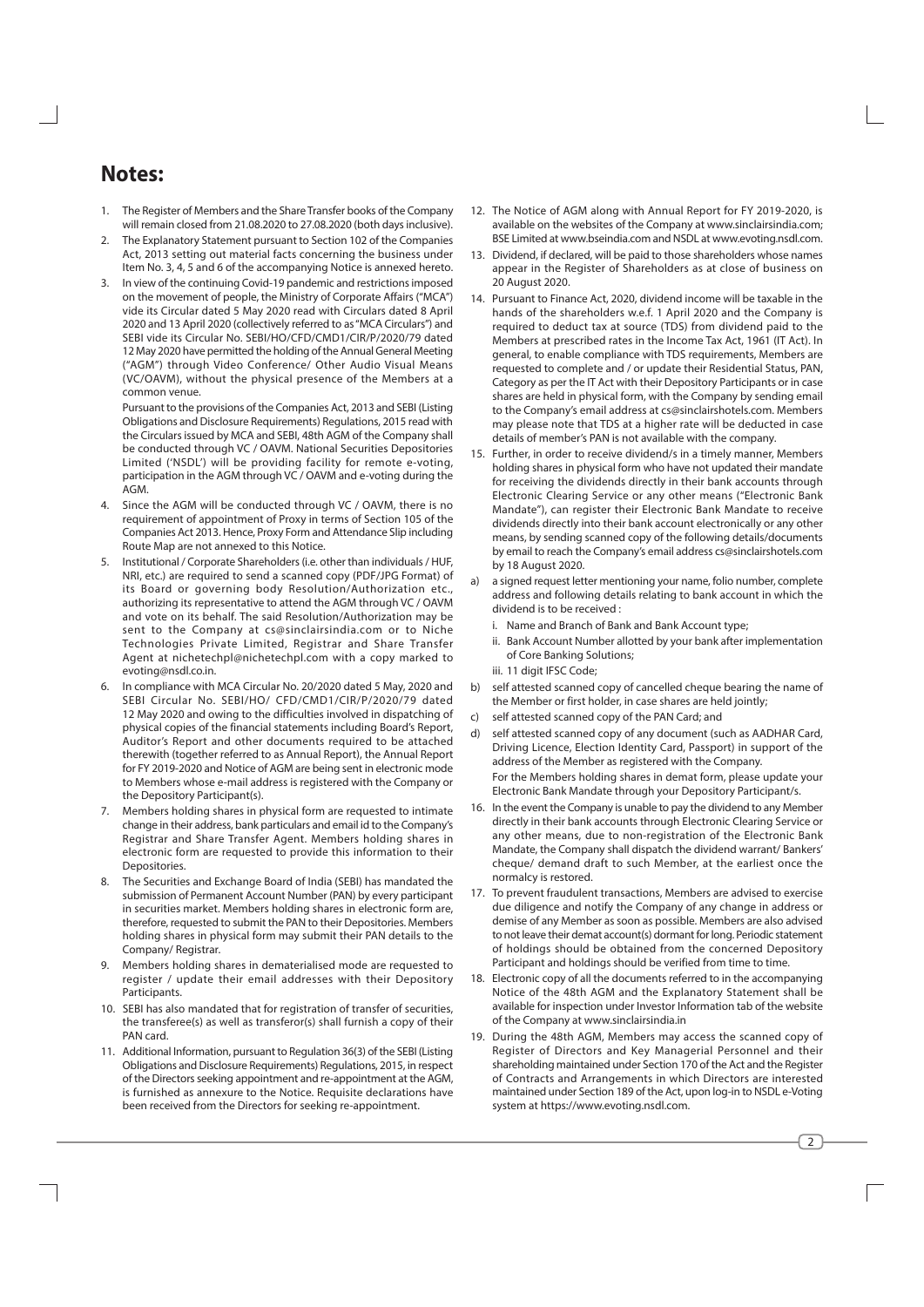# **Notes:**

- 1. The Register of Members and the Share Transfer books of the Company will remain closed from 21.08.2020 to 27.08.2020 (both days inclusive).
- The Explanatory Statement pursuant to Section 102 of the Companies  $2<sub>1</sub>$ Act, 2013 setting out material facts concerning the business under Item No. 3, 4, 5 and 6 of the accompanying Notice is annexed hereto.
- $\mathcal{R}$ In view of the continuing Covid-19 pandemic and restrictions imposed on the movement of people, the Ministry of Corporate Affairs ("MCA") vide its Circular dated 5 May 2020 read with Circulars dated 8 April 2020 and 13 April 2020 (collectively referred to as "MCA Circulars") and SEBI vide its Circular No. SEBI/HO/CFD/CMD1/CIR/P/2020/79 dated 12 May 2020 have permitted the holding of the Annual General Meeting ("AGM") through Video Conference/ Other Audio Visual Means (VC/OAVM), without the physical presence of the Members at a common venue.

Pursuant to the provisions of the Companies Act, 2013 and SEBI (Listing Obligations and Disclosure Requirements) Regulations, 2015 read with the Circulars issued by MCA and SEBI, 48th AGM of the Company shall be conducted through VC / OAVM. National Securities Depositories Limited ('NSDL') will be providing facility for remote e-voting, participation in the AGM through VC / OAVM and e-voting during the AGM

- 4. Since the AGM will be conducted through VC / OAVM, there is no requirement of appointment of Proxy in terms of Section 105 of the Companies Act 2013. Hence, Proxy Form and Attendance Slip including Route Map are not annexed to this Notice.
- Institutional / Corporate Shareholders (i.e. other than individuals / HUF, 5. NRI, etc.) are required to send a scanned copy (PDF/JPG Format) of its Board or governing body Resolution/Authorization etc., authorizing its representative to attend the AGM through VC / OAVM and vote on its behalf. The said Resolution/Authorization may be sent to the Company at cs@sinclairsindia.com or to Niche Technologies Private Limited, Registrar and Share Transfer Agent at nichetechpl@nichetechpl.com with a copy marked to evoting@nsdl.co.in.
- In compliance with MCA Circular No. 20/2020 dated 5 May, 2020 and 6. SEBI Circular No. SEBI/HO/ CFD/CMD1/CIR/P/2020/79 dated 12 May 2020 and owing to the difficulties involved in dispatching of physical copies of the financial statements including Board's Report. Auditor's Report and other documents required to be attached therewith (together referred to as Annual Report), the Annual Report for FY 2019-2020 and Notice of AGM are being sent in electronic mode to Members whose e-mail address is registered with the Company or the Depository Participant(s).
- Members holding shares in physical form are requested to intimate change in their address, bank particulars and email id to the Company's Registrar and Share Transfer Agent. Members holding shares in electronic form are requested to provide this information to their Depositories.
- 8. The Securities and Exchange Board of India (SEBI) has mandated the submission of Permanent Account Number (PAN) by every participant in securities market. Members holding shares in electronic form are, therefore, requested to submit the PAN to their Depositories. Members holding shares in physical form may submit their PAN details to the Company/Registrar.
- Members holding shares in dematerialised mode are requested to register / update their email addresses with their Depository Participants.
- 10. SEBI has also mandated that for registration of transfer of securities, the transferee(s) as well as transferor(s) shall furnish a copy of their PAN card.
- 11. Additional Information, pursuant to Regulation 36(3) of the SEBI (Listing Obligations and Disclosure Requirements) Regulations, 2015, in respect of the Directors seeking appointment and re-appointment at the AGM. is furnished as annexure to the Notice. Requisite declarations have been received from the Directors for seeking re-appointment.
- 12. The Notice of AGM along with Annual Report for FY 2019-2020, is available on the websites of the Company at www.sinclairsindia.com: BSE Limited at www.bseindia.com and NSDL at www.evoting.nsdl.com.
- 13. Dividend, if declared, will be paid to those shareholders whose names appear in the Register of Shareholders as at close of business on 20 August 2020.
- 14. Pursuant to Finance Act. 2020, dividend income will be taxable in the hands of the shareholders w.e.f. 1 April 2020 and the Company is required to deduct tax at source (TDS) from dividend paid to the Members at prescribed rates in the Income Tax Act, 1961 (IT Act). In general, to enable compliance with TDS requirements, Members are requested to complete and / or update their Residential Status, PAN, Category as per the IT Act with their Depository Participants or in case shares are held in physical form, with the Company by sending email to the Company's email address at cs@sinclairshotels.com. Members may please note that TDS at a higher rate will be deducted in case details of member's PAN is not available with the company.
- 15. Further, in order to receive dividend/s in a timely manner, Members holding shares in physical form who have not updated their mandate for receiving the dividends directly in their bank accounts through Electronic Clearing Service or any other means ("Electronic Bank Mandate"), can register their Electronic Bank Mandate to receive dividends directly into their bank account electronically or any other means, by sending scanned copy of the following details/documents by email to reach the Company's email address cs@sinclairshotels.com by 18 August 2020.
- a signed request letter mentioning your name, folio number, complete address and following details relating to bank account in which the dividend is to be received .
	- i. Name and Branch of Bank and Bank Account type;
	- ii. Bank Account Number allotted by your bank after implementation of Core Banking Solutions;
	- iii. 11 diait IFSC Code:
- self attested scanned copy of cancelled cheque bearing the name of  $b)$ the Member or first holder, in case shares are held jointly;
- self attested scanned copy of the PAN Card: and  $\mathsf{C}$
- d) self attested scanned copy of any document (such as AADHAR Card, Driving Licence, Election Identity Card, Passport) in support of the address of the Member as registered with the Company. For the Members holding shares in demat form, please update your Electronic Bank Mandate through your Depository Participant/s.
- 16. In the event the Company is unable to pay the dividend to any Member directly in their bank accounts through Electronic Clearing Service or any other means, due to non-registration of the Electronic Bank Mandate, the Company shall dispatch the dividend warrant/ Bankers' cheque/ demand draft to such Member, at the earliest once the normalcy is restored.
- 17. To prevent fraudulent transactions, Members are advised to exercise due diligence and notify the Company of any change in address or demise of any Member as soon as possible. Members are also advised to not leave their demat account(s) dormant for long. Periodic statement of holdings should be obtained from the concerned Depository Participant and holdings should be verified from time to time.
- 18. Electronic copy of all the documents referred to in the accompanying Notice of the 48th AGM and the Explanatory Statement shall be available for inspection under Investor Information tab of the website of the Company at www.sinclairsindia.in
- 19. During the 48th AGM, Members may access the scanned copy of Register of Directors and Key Managerial Personnel and their shareholding maintained under Section 170 of the Act and the Register of Contracts and Arrangements in which Directors are interested maintained under Section 189 of the Act, upon log-in to NSDL e-Voting system at https://www.evoting.nsdl.com.

 $\overline{2}$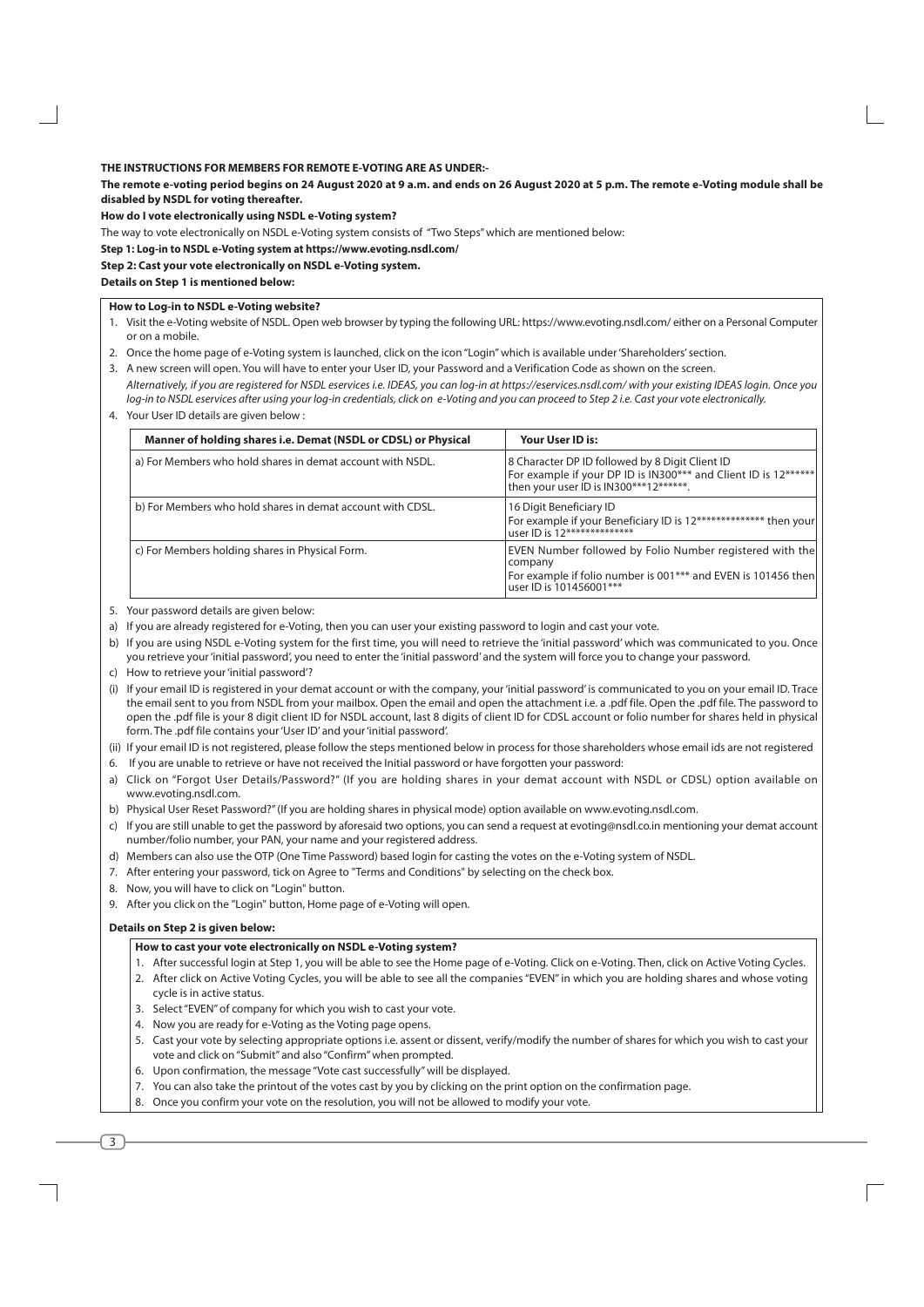## THE INSTRUCTIONS FOR MEMBERS FOR REMOTE E-VOTING ARE AS UNDER:-

The remote e-voting period begins on 24 August 2020 at 9 a.m. and ends on 26 August 2020 at 5 p.m. The remote e-Voting module shall be disabled by NSDL for voting thereafter.

How do I vote electronically using NSDL e-Voting system?

The way to vote electronically on NSDL e-Voting system consists of "Two Steps" which are mentioned below:

Step 1: Log-in to NSDL e-Voting system at https://www.evoting.nsdl.com/

#### Step 2: Cast your vote electronically on NSDL e-Voting system.

#### **Details on Step 1 is mentioned below:**

## How to Log-in to NSDL e-Voting website?

- 1. Visit the e-Voting website of NSDL. Open web browser by typing the following URL: https://www.evoting.nsdl.com/either on a Personal Computer or on a mobile.
- 2. Once the home page of e-Voting system is launched, click on the icon "Login" which is available under 'Shareholders' section.
- 3. A new screen will open. You will have to enter your User ID, your Password and a Verification Code as shown on the screen. Alternatively, if you are registered for NSDL eservices i.e. IDEAS, you can log-in at https://eservices.nsdl.com/ with your existing IDEAS login. Once you log-in to NSDL eservices after using your log-in credentials, click on e-Voting and you can proceed to Step 2 i.e. Cast your vote electronically.
- 4. Your User ID details are given below:

| Manner of holding shares i.e. Demat (NSDL or CDSL) or Physical | Your User ID is:                                                                                                                                                |
|----------------------------------------------------------------|-----------------------------------------------------------------------------------------------------------------------------------------------------------------|
| a) For Members who hold shares in demat account with NSDL.     | 8 Character DP ID followed by 8 Digit Client ID<br>For example if your DP ID is IN300*** and Client ID is 12******<br>then your user ID is IN300***12*******.   |
| b) For Members who hold shares in demat account with CDSL.     | 16 Digit Beneficiary ID<br>For example if your Beneficiary ID is 12************** then your<br>user ID is 12***************                                     |
| c) For Members holding shares in Physical Form.                | EVEN Number followed by Folio Number registered with the<br>company<br>For example if folio number is 001*** and EVEN is 101456 then<br>user ID is 101456001*** |

- 5. Your password details are given below:
- a) If you are already registered for e-Voting, then you can user your existing password to login and cast your vote.
- b) If you are using NSDL e-Voting system for the first time, you will need to retrieve the 'initial password' which was communicated to you. Once you retrieve your 'initial password', you need to enter the 'initial password' and the system will force you to change your password.
- c) How to retrieve your 'initial password'?
- (i) If your email ID is registered in your demat account or with the company, your 'initial password' is communicated to you on your email ID. Trace the email sent to you from NSDL from your mailbox. Open the email and open the attachment i.e. a .pdf file. Open the .pdf file. The password to open the .pdf file is your 8 digit client ID for NSDL account, last 8 digits of client ID for CDSL account or folio number for shares held in physical form. The .pdf file contains your 'User ID' and your 'initial password'.
- (ii) If your email ID is not registered, please follow the steps mentioned below in process for those shareholders whose email ids are not registered
- 6. If you are unable to retrieve or have not received the Initial password or have forgotten your password:
- a) Click on "Forgot User Details/Password?" (If you are holding shares in your demat account with NSDL or CDSL) option available on www.evoting.nsdl.com.
- b) Physical User Reset Password?" (If you are holding shares in physical mode) option available on www.evoting.nsdl.com.
- c) If you are still unable to get the password by aforesaid two options, you can send a request at evoting@nsdl.co.in mentioning your demat account number/folio number, your PAN, your name and your registered address.
- d) Members can also use the OTP (One Time Password) based login for casting the votes on the e-Voting system of NSDL.
- 7. After entering your password, tick on Agree to "Terms and Conditions" by selecting on the check box.
- 8. Now, you will have to click on "Login" button.
- 9. After you click on the "Login" button, Home page of e-Voting will open.

## Details on Step 2 is given below:

## How to cast your vote electronically on NSDL e-Voting system?

- 1. After successful login at Step 1, you will be able to see the Home page of e-Voting. Click on e-Voting. Then, click on Active Voting Cycles.
- 2. After click on Active Voting Cycles, you will be able to see all the companies "EVEN" in which you are holding shares and whose voting cycle is in active status.
- 3. Select "EVEN" of company for which you wish to cast your vote.
- 4. Now you are ready for e-Voting as the Voting page opens.
- 5. Cast your vote by selecting appropriate options i.e. assent or dissent, verify/modify the number of shares for which you wish to cast your vote and click on "Submit" and also "Confirm" when prompted.
- 6. Upon confirmation, the message "Vote cast successfully" will be displayed.
- 7. You can also take the printout of the votes cast by you by clicking on the print option on the confirmation page.
- 8. Once you confirm your yote on the resolution, you will not be allowed to modify your yote.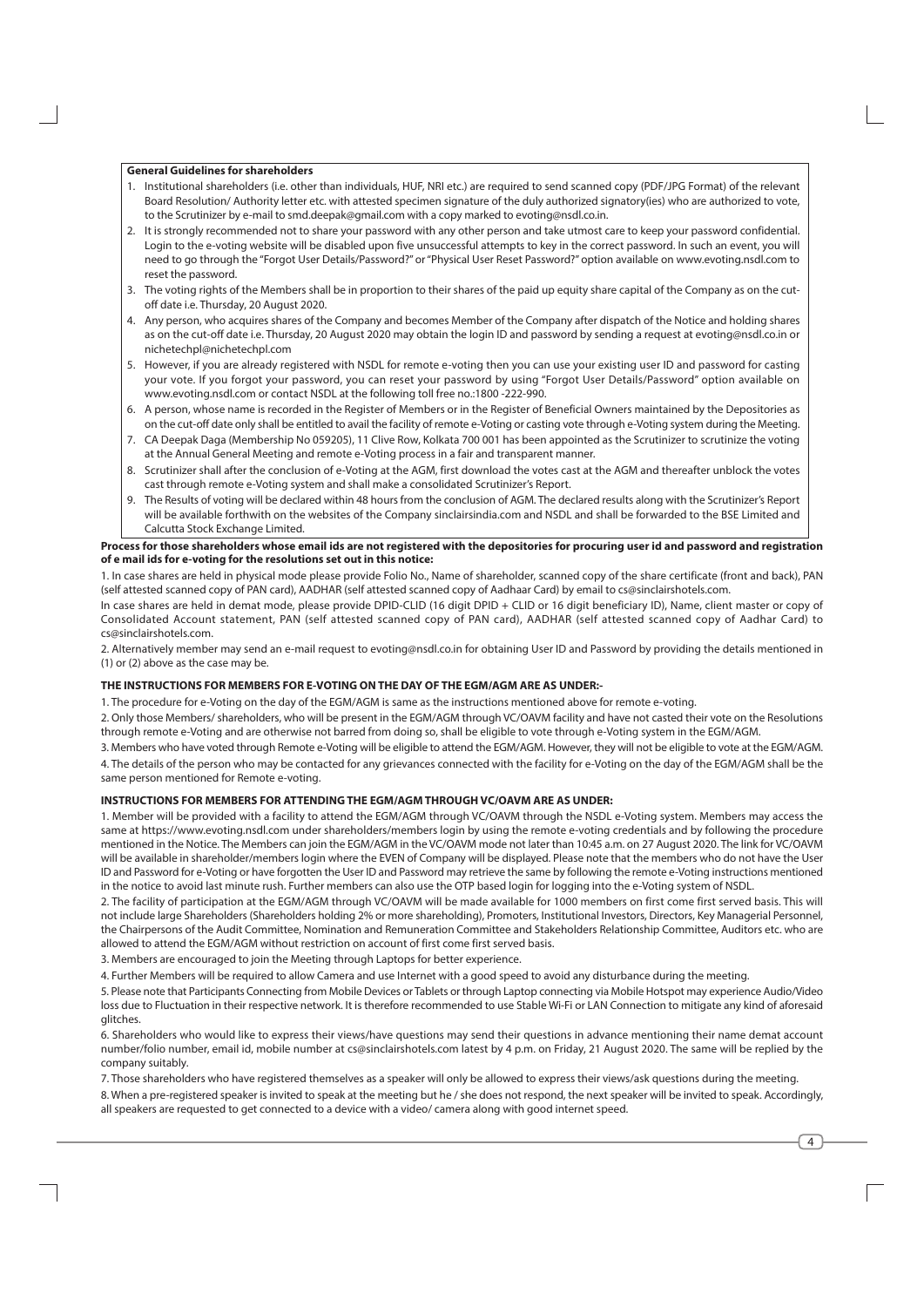## **General Guidelines for shareholders**

- 1. Institutional shareholders (i.e. other than individuals, HUF, NRI etc.) are required to send scanned copy (PDF/JPG Format) of the relevant Board Resolution/Authority letter etc. with attested specimen signature of the duly authorized signatory(ies) who are authorized to vote, to the Scrutinizer by e-mail to smd.deepak@gmail.com with a copy marked to evoting@nsdl.co.in.
- 2. It is strongly recommended not to share your password with any other person and take utmost care to keep your password confidential. Login to the e-voting website will be disabled upon five unsuccessful attempts to key in the correct password. In such an event, you will need to go through the "Forgot User Details/Password?" or "Physical User Reset Password?" option available on www.evoting.nsdl.com to reset the password.
- 3. The voting rights of the Members shall be in proportion to their shares of the paid up equity share capital of the Company as on the cutoff date i.e. Thursday, 20 August 2020.
- 4. Any person, who acquires shares of the Company and becomes Member of the Company after dispatch of the Notice and holding shares as on the cut-off date i.e. Thursday, 20 August 2020 may obtain the login ID and password by sending a request at evoting@nsdl.co.in or nichetechpl@nichetechpl.com
- 5. However, if you are already registered with NSDL for remote e-voting then you can use your existing user ID and password for casting your vote. If you forgot your password, you can reset your password by using "Forgot User Details/Password" option available on www.evoting.nsdl.com or contact NSDL at the following toll free no.:1800 -222-990.
- 6. A person, whose name is recorded in the Register of Members or in the Register of Beneficial Owners maintained by the Depositories as on the cut-off date only shall be entitled to avail the facility of remote e-Voting or casting vote through e-Voting system during the Meeting.
- 7. CA Deepak Daga (Membership No 059205), 11 Clive Row, Kolkata 700 001 has been appointed as the Scrutinizer to scrutinize the voting at the Annual General Meeting and remote e-Voting process in a fair and transparent manner.
- 8. Scrutinizer shall after the conclusion of e-Voting at the AGM, first download the votes cast at the AGM and thereafter unblock the votes cast through remote e-Voting system and shall make a consolidated Scrutinizer's Report.
- 9. The Results of voting will be declared within 48 hours from the conclusion of AGM. The declared results along with the Scrutinizer's Report will be available forthwith on the websites of the Company sinclairsindia.com and NSDL and shall be forwarded to the BSE Limited and Calcutta Stock Exchange Limited.

#### Process for those shareholders whose email ids are not registered with the depositories for procuring user id and password and registration of e mail ids for e-voting for the resolutions set out in this notice:

1. In case shares are held in physical mode please provide Folio No., Name of shareholder, scanned copy of the share certificate (front and back), PAN (self attested scanned copy of PAN card), AADHAR (self attested scanned copy of Aadhaar Card) by email to cs@sinclairshotels.com.

In case shares are held in demat mode, please provide DPID-CLID (16 digit DPID + CLID or 16 digit beneficiary ID), Name, client master or copy of Consolidated Account statement, PAN (self attested scanned copy of PAN card), AADHAR (self attested scanned copy of Aadhar Card) to cs@sinclairshotels.com

2. Alternatively member may send an e-mail request to evoting@nsdl.co.in for obtaining User ID and Password by providing the details mentioned in (1) or (2) above as the case may be.

## THE INSTRUCTIONS FOR MEMBERS FOR E-VOTING ON THE DAY OF THE EGM/AGM ARE AS UNDER:-

1. The procedure for e-Voting on the day of the EGM/AGM is same as the instructions mentioned above for remote e-voting.

2. Only those Members/ shareholders, who will be present in the EGM/AGM through VC/OAVM facility and have not casted their vote on the Resolutions through remote e-Voting and are otherwise not barred from doing so, shall be eligible to vote through e-Voting system in the EGM/AGM.

3. Members who have voted through Remote e-Voting will be eligible to attend the EGM/AGM. However, they will not be eligible to vote at the EGM/AGM.

4. The details of the person who may be contacted for any grievances connected with the facility for e-Voting on the day of the EGM/AGM shall be the same person mentioned for Remote e-voting.

## INSTRUCTIONS FOR MEMBERS FOR ATTENDING THE EGM/AGM THROUGH VC/OAVM ARE AS UNDER:

1. Member will be provided with a facility to attend the EGM/AGM through VC/OAVM through the NSDL e-Voting system. Members may access the same at https://www.evoting.nsdl.com under shareholders/members login by using the remote e-voting credentials and by following the procedure mentioned in the Notice. The Members can join the EGM/AGM in the VC/OAVM mode not later than 10:45 a.m. on 27 August 2020. The link for VC/OAVM will be available in shareholder/members login where the EVEN of Company will be displayed. Please note that the members who do not have the User ID and Password for e-Voting or have forgotten the User ID and Password may retrieve the same by following the remote e-Voting instructions mentioned in the notice to avoid last minute rush. Further members can also use the OTP based login for logging into the e-Voting system of NSDL.

2. The facility of participation at the EGM/AGM through VC/OAVM will be made available for 1000 members on first come first served basis. This will not include large Shareholders (Shareholders holding 2% or more shareholding). Promoters, Institutional Investors, Directors, Key Managerial Personnel, the Chairpersons of the Audit Committee, Nomination and Remuneration Committee and Stakeholders Relationship Committee, Auditors etc. who are allowed to attend the EGM/AGM without restriction on account of first come first served basis.

3. Members are encouraged to join the Meeting through Laptops for better experience.

4. Further Members will be required to allow Camera and use Internet with a good speed to avoid any disturbance during the meeting.

5. Please note that Participants Connecting from Mobile Devices or Tablets or through Laptop connecting via Mobile Hotspot may experience Audio/Video loss due to Fluctuation in their respective network. It is therefore recommended to use Stable Wi-Fi or LAN Connection to mitigate any kind of aforesaid alitches

6. Shareholders who would like to express their views/have questions may send their questions in advance mentioning their name demat account number/folio number, email id, mobile number at cs@sinclairshotels.com latest by 4 p.m. on Friday, 21 August 2020. The same will be replied by the company suitably.

7. Those shareholders who have registered themselves as a speaker will only be allowed to express their views/ask questions during the meeting. 8. When a pre-registered speaker is invited to speak at the meeting but he / she does not respond, the next speaker will be invited to speak. Accordingly, all speakers are requested to get connected to a device with a video/ camera along with good internet speed.

 $\overline{4}$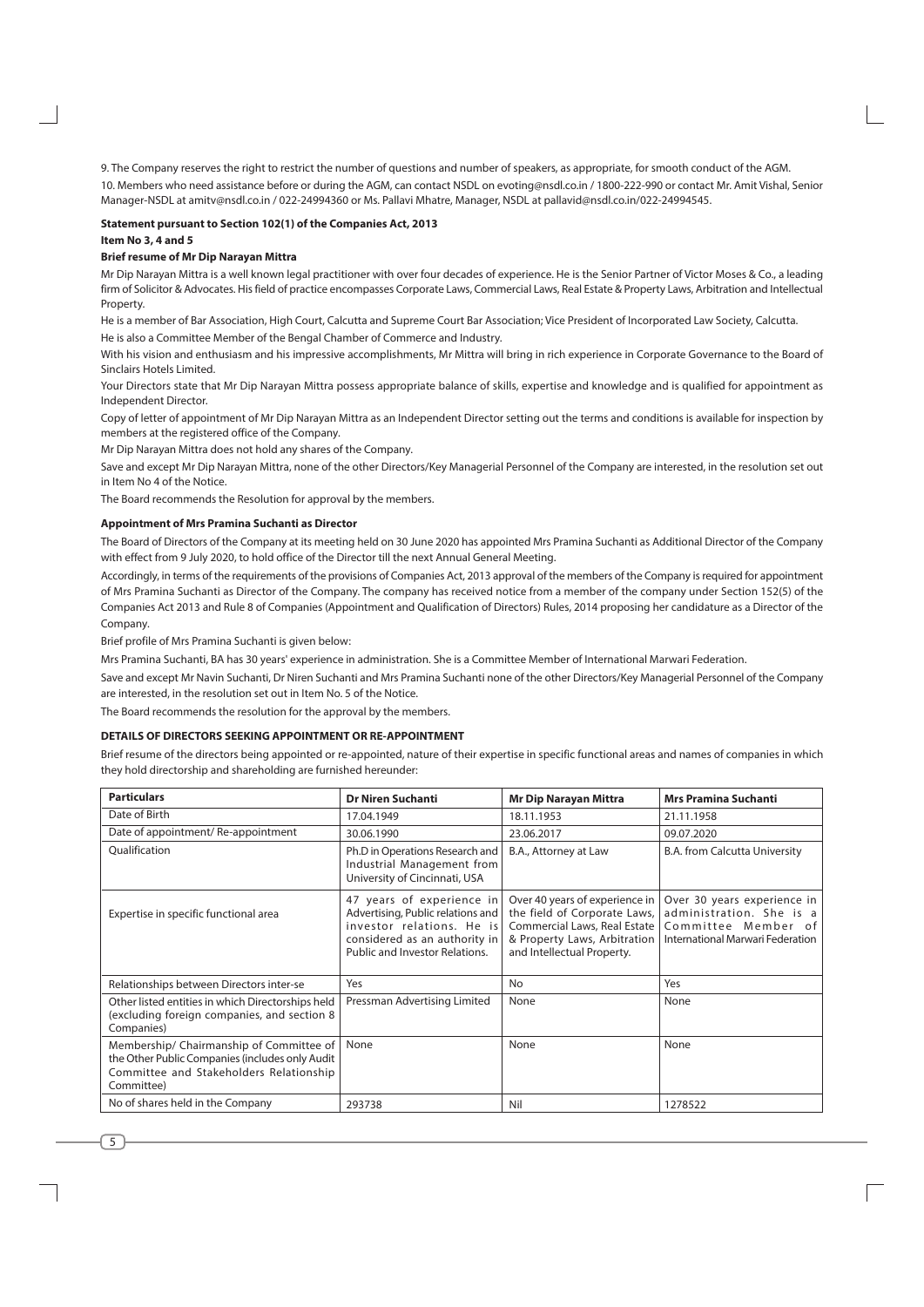9. The Company reserves the right to restrict the number of questions and number of speakers, as appropriate, for smooth conduct of the AGM.

10. Members who need assistance before or during the AGM, can contact NSDL on evoting@nsdl.co.in / 1800-222-990 or contact Mr. Amit Vishal, Senior Manager-NSDL at amity@nsdl.co.in / 022-24994360 or Ms. Pallavi Mhatre, Manager, NSDL at pallavid@nsdl.co.in/022-24994545.

#### Statement pursuant to Section 102(1) of the Companies Act, 2013

#### Item No 3, 4 and 5

#### **Brief resume of Mr Dip Naravan Mittra**

Mr Dip Narayan Mittra is a well known legal practitioner with over four decades of experience. He is the Senior Partner of Victor Moses & Co., a leading firm of Solicitor & Advocates. His field of practice encompasses Corporate Laws, Commercial Laws, Real Estate & Property Laws, Arbitration and Intellectual Property.

He is a member of Bar Association. High Court, Calcutta and Supreme Court Bar Association: Vice President of Incorporated Law Society, Calcutta.

He is also a Committee Member of the Bengal Chamber of Commerce and Industry.

With his vision and enthusiasm and his impressive accomplishments. Mr Mittra will bring in rich experience in Corporate Governance to the Board of Sinclairs Hotels Limited.

Your Directors state that Mr Dip Narayan Mittra possess appropriate balance of skills, expertise and knowledge and is qualified for appointment as Independent Director.

Copy of letter of appointment of Mr Dip Narayan Mittra as an Independent Director setting out the terms and conditions is available for inspection by members at the registered office of the Company.

Mr Dip Narayan Mittra does not hold any shares of the Company.

Save and except Mr Dip Narayan Mittra, none of the other Directors/Key Managerial Personnel of the Company are interested, in the resolution set out in Item No 4 of the Notice.

The Board recommends the Resolution for approval by the members.

#### Appointment of Mrs Pramina Suchanti as Director

The Board of Directors of the Company at its meeting held on 30 June 2020 has appointed Mrs Pramina Suchanti as Additional Director of the Company with effect from 9 July 2020, to hold office of the Director till the next Annual General Meeting.

Accordingly, in terms of the requirements of the provisions of Companies Act, 2013 approval of the members of the Company is required for appointment of Mrs Pramina Suchanti as Director of the Company. The company has received notice from a member of the company under Section 152(5) of the Companies Act 2013 and Rule 8 of Companies (Appointment and Qualification of Directors) Rules, 2014 proposing her candidature as a Director of the Company

Brief profile of Mrs Pramina Suchanti is given below:

Mrs Pramina Suchanti, BA has 30 years' experience in administration. She is a Committee Member of International Marwari Federation.

Save and except Mr Navin Suchanti, Dr Niren Suchanti and Mrs Pramina Suchanti none of the other Directors/Key Managerial Personnel of the Company are interested, in the resolution set out in Item No. 5 of the Notice.

The Board recommends the resolution for the approval by the members.

## DETAILS OF DIRECTORS SEEKING APPOINTMENT OR RE-APPOINTMENT

Brief resume of the directors being appointed or re-appointed, nature of their expertise in specific functional areas and names of companies in which they hold directorship and shareholding are furnished hereunder:

| <b>Particulars</b>                                                                                                                                   | <b>Dr Niren Suchanti</b>                                                                                                                                       | <b>Mr Dip Narayan Mittra</b>                                                                                                                                 | <b>Mrs Pramina Suchanti</b>                                                                                        |  |
|------------------------------------------------------------------------------------------------------------------------------------------------------|----------------------------------------------------------------------------------------------------------------------------------------------------------------|--------------------------------------------------------------------------------------------------------------------------------------------------------------|--------------------------------------------------------------------------------------------------------------------|--|
| Date of Birth                                                                                                                                        | 17.04.1949                                                                                                                                                     | 18.11.1953                                                                                                                                                   | 21.11.1958                                                                                                         |  |
| Date of appointment/Re-appointment                                                                                                                   | 30.06.1990                                                                                                                                                     | 23.06.2017                                                                                                                                                   | 09.07.2020                                                                                                         |  |
| Qualification                                                                                                                                        | Ph.D in Operations Research and<br>Industrial Management from<br>University of Cincinnati, USA                                                                 | B.A., Attorney at Law                                                                                                                                        | B.A. from Calcutta University                                                                                      |  |
| Expertise in specific functional area                                                                                                                | 47 years of experience in<br>Advertising, Public relations and<br>investor relations. He is<br>considered as an authority in<br>Public and Investor Relations. | Over 40 years of experience in<br>the field of Corporate Laws,<br>Commercial Laws, Real Estate<br>& Property Laws, Arbitration<br>and Intellectual Property. | Over 30 years experience in<br>administration. She is a<br>Committee Member of<br>International Marwari Federation |  |
| Relationships between Directors inter-se                                                                                                             | Yes                                                                                                                                                            | No                                                                                                                                                           | Yes                                                                                                                |  |
| Other listed entities in which Directorships held<br>(excluding foreign companies, and section 8<br>Companies)                                       | Pressman Advertising Limited                                                                                                                                   | None                                                                                                                                                         | None                                                                                                               |  |
| Membership/ Chairmanship of Committee of<br>the Other Public Companies (includes only Audit<br>Committee and Stakeholders Relationship<br>Committee) | None                                                                                                                                                           | None                                                                                                                                                         | None                                                                                                               |  |
| No of shares held in the Company                                                                                                                     | 293738                                                                                                                                                         | Nil                                                                                                                                                          | 1278522                                                                                                            |  |